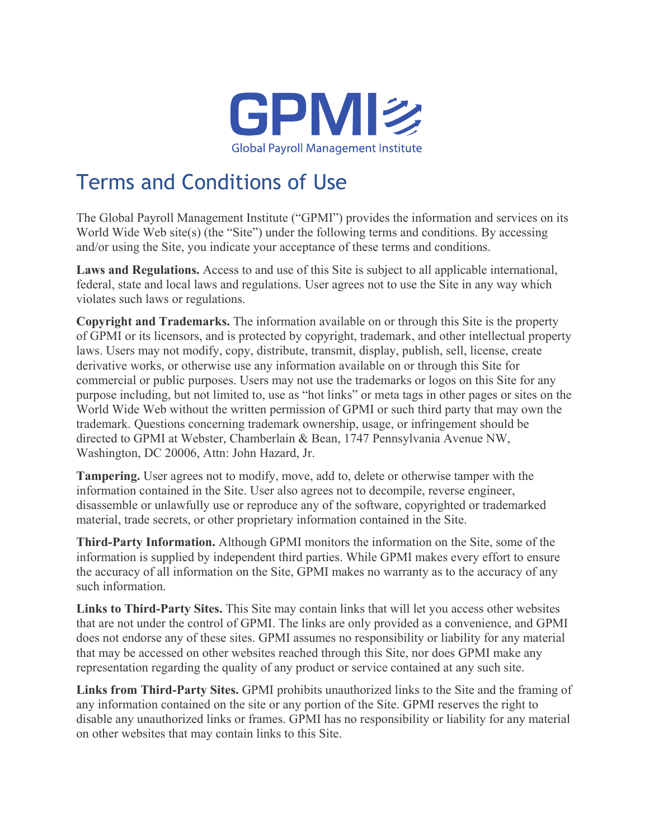

## Terms and Conditions of Use

The Global Payroll Management Institute ("GPMI") provides the information and services on its World Wide Web site(s) (the "Site") under the following terms and conditions. By accessing and/or using the Site, you indicate your acceptance of these terms and conditions.

**Laws and Regulations.** Access to and use of this Site is subject to all applicable international, federal, state and local laws and regulations. User agrees not to use the Site in any way which violates such laws or regulations.

**Copyright and Trademarks.** The information available on or through this Site is the property of GPMI or its licensors, and is protected by copyright, trademark, and other intellectual property laws. Users may not modify, copy, distribute, transmit, display, publish, sell, license, create derivative works, or otherwise use any information available on or through this Site for commercial or public purposes. Users may not use the trademarks or logos on this Site for any purpose including, but not limited to, use as "hot links" or meta tags in other pages or sites on the World Wide Web without the written permission of GPMI or such third party that may own the trademark. Questions concerning trademark ownership, usage, or infringement should be directed to GPMI at Webster, Chamberlain & Bean, 1747 Pennsylvania Avenue NW, Washington, DC 20006, Attn: John Hazard, Jr.

**Tampering.** User agrees not to modify, move, add to, delete or otherwise tamper with the information contained in the Site. User also agrees not to decompile, reverse engineer, disassemble or unlawfully use or reproduce any of the software, copyrighted or trademarked material, trade secrets, or other proprietary information contained in the Site.

**Third-Party Information.** Although GPMI monitors the information on the Site, some of the information is supplied by independent third parties. While GPMI makes every effort to ensure the accuracy of all information on the Site, GPMI makes no warranty as to the accuracy of any such information.

**Links to Third-Party Sites.** This Site may contain links that will let you access other websites that are not under the control of GPMI. The links are only provided as a convenience, and GPMI does not endorse any of these sites. GPMI assumes no responsibility or liability for any material that may be accessed on other websites reached through this Site, nor does GPMI make any representation regarding the quality of any product or service contained at any such site.

**Links from Third-Party Sites.** GPMI prohibits unauthorized links to the Site and the framing of any information contained on the site or any portion of the Site. GPMI reserves the right to disable any unauthorized links or frames. GPMI has no responsibility or liability for any material on other websites that may contain links to this Site.